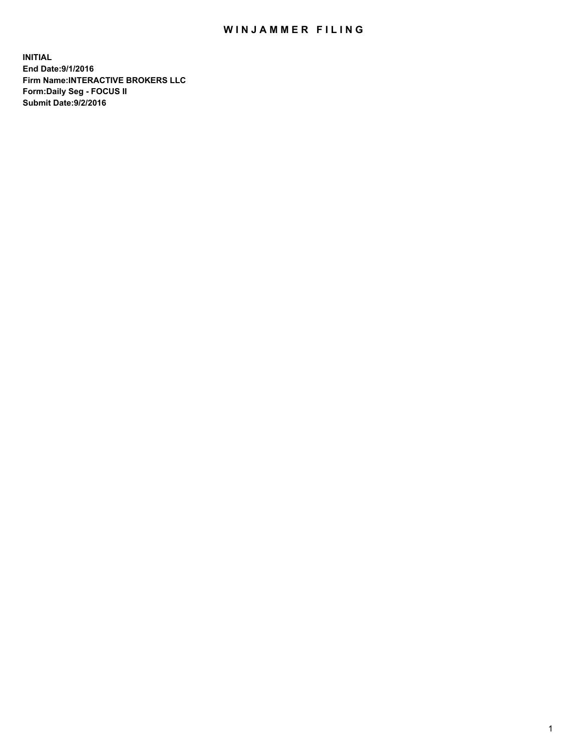## WIN JAMMER FILING

**INITIAL End Date:9/1/2016 Firm Name:INTERACTIVE BROKERS LLC Form:Daily Seg - FOCUS II Submit Date:9/2/2016**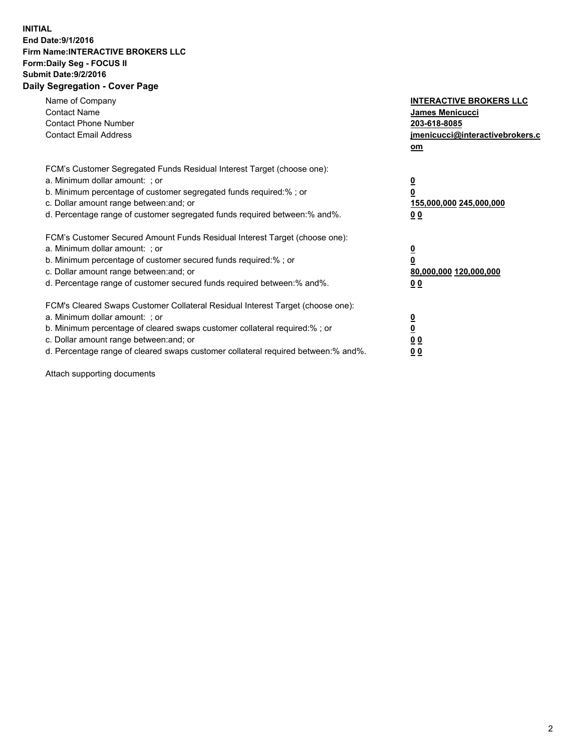## **INITIAL End Date:9/1/2016 Firm Name:INTERACTIVE BROKERS LLC Form:Daily Seg - FOCUS II Submit Date:9/2/2016 Daily Segregation - Cover Page**

| Name of Company<br><b>Contact Name</b><br><b>Contact Phone Number</b><br><b>Contact Email Address</b>                                                                                                                                                                                                                          | <b>INTERACTIVE BROKERS LLC</b><br>James Menicucci<br>203-618-8085<br>jmenicucci@interactivebrokers.c<br>om |
|--------------------------------------------------------------------------------------------------------------------------------------------------------------------------------------------------------------------------------------------------------------------------------------------------------------------------------|------------------------------------------------------------------------------------------------------------|
| FCM's Customer Segregated Funds Residual Interest Target (choose one):<br>a. Minimum dollar amount: ; or<br>b. Minimum percentage of customer segregated funds required:%; or<br>c. Dollar amount range between: and; or<br>d. Percentage range of customer segregated funds required between:% and%.                          | $\overline{\mathbf{0}}$<br>$\overline{\mathbf{0}}$<br>155,000,000 245,000,000<br>00                        |
| FCM's Customer Secured Amount Funds Residual Interest Target (choose one):<br>a. Minimum dollar amount: ; or<br>b. Minimum percentage of customer secured funds required:%; or<br>c. Dollar amount range between: and; or<br>d. Percentage range of customer secured funds required between: % and %.                          | $\overline{\mathbf{0}}$<br>$\mathbf 0$<br>80,000,000 120,000,000<br>00                                     |
| FCM's Cleared Swaps Customer Collateral Residual Interest Target (choose one):<br>a. Minimum dollar amount: ; or<br>b. Minimum percentage of cleared swaps customer collateral required:% ; or<br>c. Dollar amount range between: and; or<br>d. Percentage range of cleared swaps customer collateral required between:% and%. | $\overline{\mathbf{0}}$<br>$\underline{\mathbf{0}}$<br>0 <sub>0</sub><br>0 <sub>0</sub>                    |

Attach supporting documents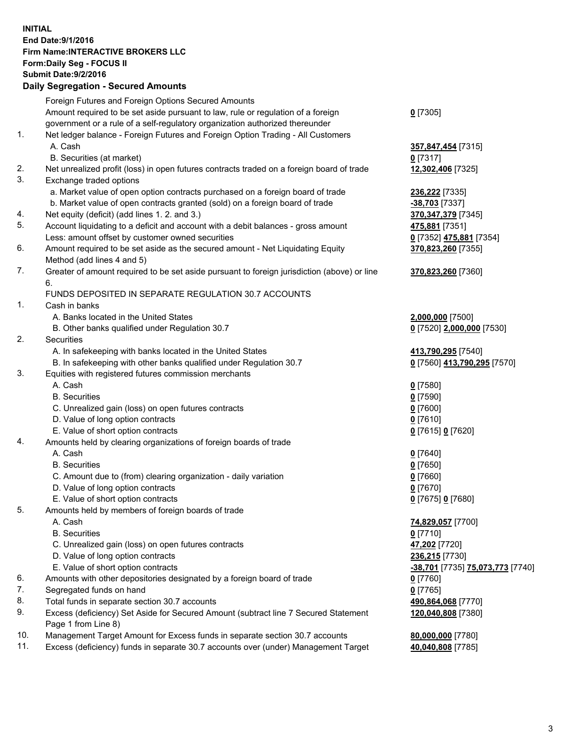## **INITIAL End Date:9/1/2016 Firm Name:INTERACTIVE BROKERS LLC Form:Daily Seg - FOCUS II Submit Date:9/2/2016 Daily Segregation - Secured Amounts**

|     | Foreign Futures and Foreign Options Secured Amounts                                         |                                  |
|-----|---------------------------------------------------------------------------------------------|----------------------------------|
|     | Amount required to be set aside pursuant to law, rule or regulation of a foreign            | $0$ [7305]                       |
|     | government or a rule of a self-regulatory organization authorized thereunder                |                                  |
| 1.  | Net ledger balance - Foreign Futures and Foreign Option Trading - All Customers             |                                  |
|     | A. Cash                                                                                     | 357,847,454 [7315]               |
|     | B. Securities (at market)                                                                   | $0$ [7317]                       |
| 2.  | Net unrealized profit (loss) in open futures contracts traded on a foreign board of trade   | 12,302,406 [7325]                |
| 3.  | Exchange traded options                                                                     |                                  |
|     | a. Market value of open option contracts purchased on a foreign board of trade              | 236,222 [7335]                   |
|     | b. Market value of open contracts granted (sold) on a foreign board of trade                | -38,703 [7337]                   |
| 4.  | Net equity (deficit) (add lines 1. 2. and 3.)                                               | 370, 347, 379 [7345]             |
| 5.  | Account liquidating to a deficit and account with a debit balances - gross amount           | 475,881 [7351]                   |
|     | Less: amount offset by customer owned securities                                            | 0 [7352] 475,881 [7354]          |
| 6.  | Amount required to be set aside as the secured amount - Net Liquidating Equity              | 370,823,260 [7355]               |
|     | Method (add lines 4 and 5)                                                                  |                                  |
| 7.  | Greater of amount required to be set aside pursuant to foreign jurisdiction (above) or line |                                  |
|     | 6.                                                                                          | 370,823,260 [7360]               |
|     |                                                                                             |                                  |
| 1.  | FUNDS DEPOSITED IN SEPARATE REGULATION 30.7 ACCOUNTS                                        |                                  |
|     | Cash in banks                                                                               |                                  |
|     | A. Banks located in the United States                                                       | 2,000,000 [7500]                 |
|     | B. Other banks qualified under Regulation 30.7                                              | 0 [7520] 2,000,000 [7530]        |
| 2.  | Securities                                                                                  |                                  |
|     | A. In safekeeping with banks located in the United States                                   | 413,790,295 [7540]               |
|     | B. In safekeeping with other banks qualified under Regulation 30.7                          | 0 [7560] 413,790,295 [7570]      |
| 3.  | Equities with registered futures commission merchants                                       |                                  |
|     | A. Cash                                                                                     | $0$ [7580]                       |
|     | <b>B.</b> Securities                                                                        | $0$ [7590]                       |
|     | C. Unrealized gain (loss) on open futures contracts                                         | $0$ [7600]                       |
|     | D. Value of long option contracts                                                           | $0$ [7610]                       |
|     | E. Value of short option contracts                                                          | 0 [7615] 0 [7620]                |
| 4.  | Amounts held by clearing organizations of foreign boards of trade                           |                                  |
|     | A. Cash                                                                                     | $0$ [7640]                       |
|     | <b>B.</b> Securities                                                                        | $0$ [7650]                       |
|     | C. Amount due to (from) clearing organization - daily variation                             | $0$ [7660]                       |
|     | D. Value of long option contracts                                                           | $0$ [7670]                       |
|     | E. Value of short option contracts                                                          | 0 [7675] 0 [7680]                |
| 5.  | Amounts held by members of foreign boards of trade                                          |                                  |
|     | A. Cash                                                                                     | 74,829,057 [7700]                |
|     | <b>B.</b> Securities                                                                        | $0$ [7710]                       |
|     | C. Unrealized gain (loss) on open futures contracts                                         | 47,202 [7720]                    |
|     | D. Value of long option contracts                                                           | 236,215 [7730]                   |
|     | E. Value of short option contracts                                                          | -38,701 [7735] 75,073,773 [7740] |
| 6.  | Amounts with other depositories designated by a foreign board of trade                      | $0$ [7760]                       |
| 7.  | Segregated funds on hand                                                                    | $0$ [7765]                       |
| 8.  | Total funds in separate section 30.7 accounts                                               | 490,864,068 [7770]               |
| 9.  | Excess (deficiency) Set Aside for Secured Amount (subtract line 7 Secured Statement         | 120,040,808 [7380]               |
|     | Page 1 from Line 8)                                                                         |                                  |
| 10. | Management Target Amount for Excess funds in separate section 30.7 accounts                 | 80,000,000 [7780]                |
| 11. | Excess (deficiency) funds in separate 30.7 accounts over (under) Management Target          | 40,040,808 [7785]                |
|     |                                                                                             |                                  |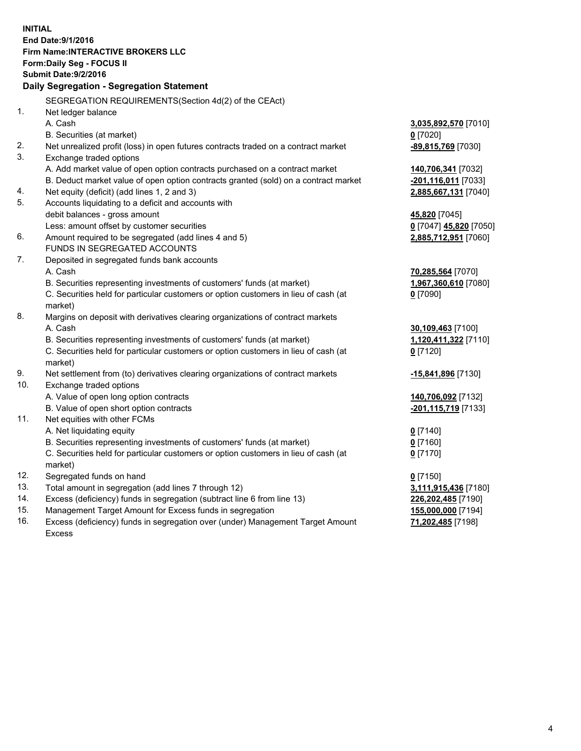**INITIAL End Date:9/1/2016 Firm Name:INTERACTIVE BROKERS LLC Form:Daily Seg - FOCUS II Submit Date:9/2/2016 Daily Segregation - Segregation Statement** SEGREGATION REQUIREMENTS(Section 4d(2) of the CEAct) 1. Net ledger balance A. Cash **3,035,892,570** [7010] B. Securities (at market) **0** [7020] 2. Net unrealized profit (loss) in open futures contracts traded on a contract market **-89,815,769** [7030] 3. Exchange traded options A. Add market value of open option contracts purchased on a contract market **140,706,341** [7032] B. Deduct market value of open option contracts granted (sold) on a contract market **-201,116,011** [7033] 4. Net equity (deficit) (add lines 1, 2 and 3) **2,885,667,131** [7040] 5. Accounts liquidating to a deficit and accounts with debit balances - gross amount **45,820** [7045] Less: amount offset by customer securities **0** [7047] **45,820** [7050] 6. Amount required to be segregated (add lines 4 and 5) **2,885,712,951** [7060] FUNDS IN SEGREGATED ACCOUNTS 7. Deposited in segregated funds bank accounts A. Cash **70,285,564** [7070] B. Securities representing investments of customers' funds (at market) **1,967,360,610** [7080] C. Securities held for particular customers or option customers in lieu of cash (at market) **0** [7090] 8. Margins on deposit with derivatives clearing organizations of contract markets A. Cash **30,109,463** [7100] B. Securities representing investments of customers' funds (at market) **1,120,411,322** [7110] C. Securities held for particular customers or option customers in lieu of cash (at market) **0** [7120] 9. Net settlement from (to) derivatives clearing organizations of contract markets **-15,841,896** [7130] 10. Exchange traded options A. Value of open long option contracts **140,706,092** [7132] B. Value of open short option contracts **-201,115,719** [7133] 11. Net equities with other FCMs A. Net liquidating equity **0** [7140] B. Securities representing investments of customers' funds (at market) **0** [7160] C. Securities held for particular customers or option customers in lieu of cash (at market) **0** [7170] 12. Segregated funds on hand **0** [7150] 13. Total amount in segregation (add lines 7 through 12) **3,111,915,436** [7180] 14. Excess (deficiency) funds in segregation (subtract line 6 from line 13) **226,202,485** [7190] 15. Management Target Amount for Excess funds in segregation **155,000,000** [7194] **71,202,485** [7198]

16. Excess (deficiency) funds in segregation over (under) Management Target Amount Excess